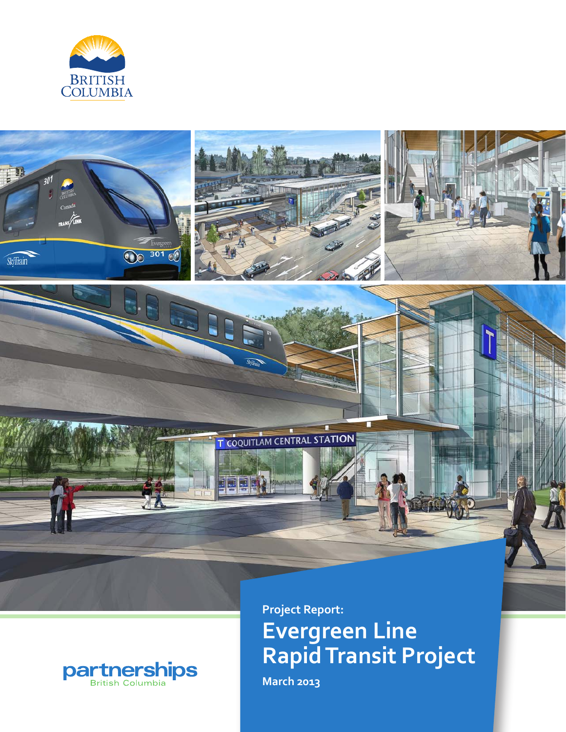





# **Evergreen Line Rapid Transit Project**

**March 2013**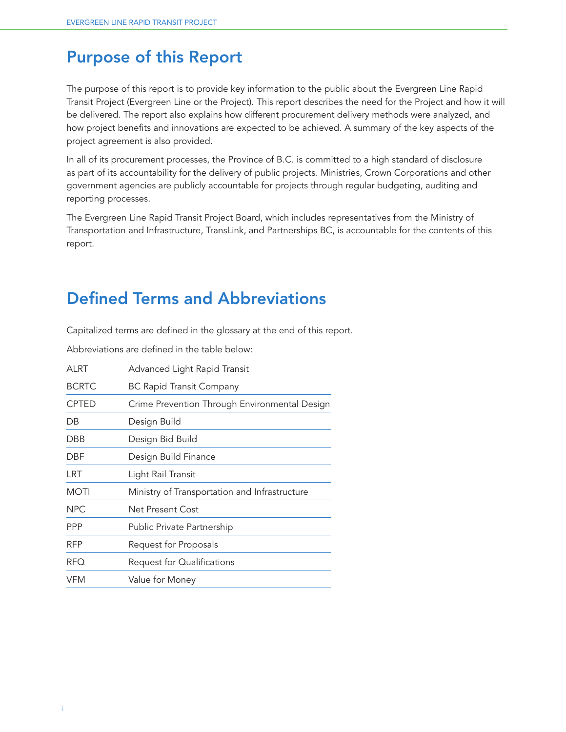# Purpose of this Report

The purpose of this report is to provide key information to the public about the Evergreen Line Rapid Transit Project (Evergreen Line or the Project). This report describes the need for the Project and how it will be delivered. The report also explains how different procurement delivery methods were analyzed, and how project benefits and innovations are expected to be achieved. A summary of the key aspects of the project agreement is also provided.

In all of its procurement processes, the Province of B.C. is committed to a high standard of disclosure as part of its accountability for the delivery of public projects. Ministries, Crown Corporations and other government agencies are publicly accountable for projects through regular budgeting, auditing and reporting processes.

The Evergreen Line Rapid Transit Project Board, which includes representatives from the Ministry of Transportation and Infrastructure, TransLink, and Partnerships BC, is accountable for the contents of this report.

# Defined Terms and Abbreviations

Capitalized terms are defined in the glossary at the end of this report.

Abbreviations are defined in the table below:

| ALRT         | Advanced Light Rapid Transit                  |  |  |  |
|--------------|-----------------------------------------------|--|--|--|
| <b>BCRTC</b> | <b>BC Rapid Transit Company</b>               |  |  |  |
| <b>CPTED</b> | Crime Prevention Through Environmental Design |  |  |  |
| DB           | Design Build                                  |  |  |  |
| DBB          | Design Bid Build                              |  |  |  |
| DBF          | Design Build Finance                          |  |  |  |
| LRT          | Light Rail Transit                            |  |  |  |
| <b>MOTI</b>  | Ministry of Transportation and Infrastructure |  |  |  |
| <b>NPC</b>   | Net Present Cost                              |  |  |  |
| <b>PPP</b>   | Public Private Partnership                    |  |  |  |
| <b>RFP</b>   | Request for Proposals                         |  |  |  |
| <b>RFQ</b>   | Request for Qualifications                    |  |  |  |
| VFM          | Value for Money                               |  |  |  |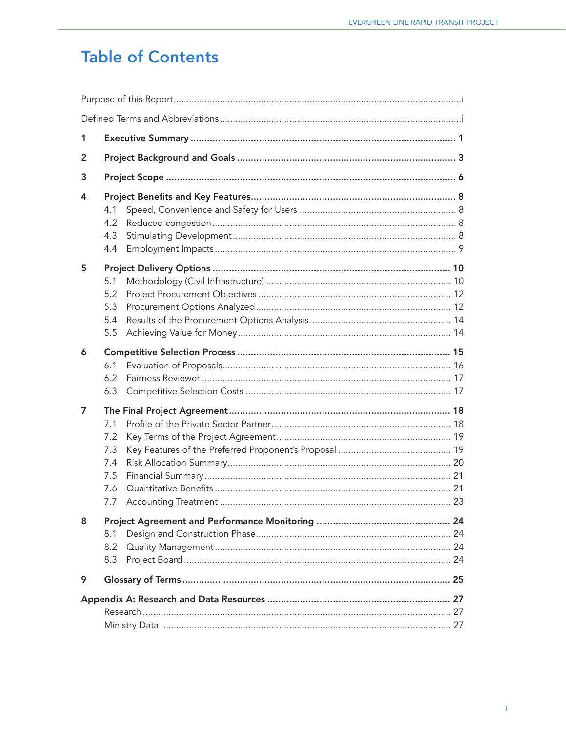# **Table of Contents**

| 1 |                                               |  |
|---|-----------------------------------------------|--|
| 2 |                                               |  |
| 3 |                                               |  |
| 4 | 4.1<br>4.2<br>4.3<br>4.4                      |  |
| 5 | 5.1<br>5.2<br>5.3<br>5.4<br>5.5               |  |
| 6 | 6.1<br>6.2<br>6.3                             |  |
| 7 | 7.1<br>7.2<br>7.3<br>7.4<br>7.5<br>7.6<br>7.7 |  |
| 8 | 8.1<br>8.2<br>8.3                             |  |
| 9 |                                               |  |
|   |                                               |  |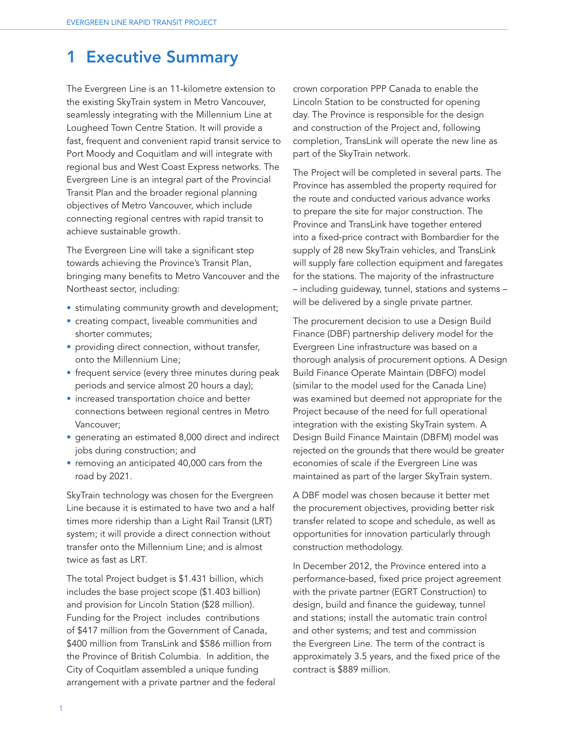# 1 Executive Summary

The Evergreen Line is an 11-kilometre extension to the existing SkyTrain system in Metro Vancouver, seamlessly integrating with the Millennium Line at Lougheed Town Centre Station. It will provide a fast, frequent and convenient rapid transit service to Port Moody and Coquitlam and will integrate with regional bus and West Coast Express networks. The Evergreen Line is an integral part of the Provincial Transit Plan and the broader regional planning objectives of Metro Vancouver, which include connecting regional centres with rapid transit to achieve sustainable growth.

The Evergreen Line will take a significant step towards achieving the Province's Transit Plan, bringing many benefits to Metro Vancouver and the Northeast sector, including:

- stimulating community growth and development;
- creating compact, liveable communities and shorter commutes;
- providing direct connection, without transfer, onto the Millennium Line;
- frequent service (every three minutes during peak periods and service almost 20 hours a day);
- increased transportation choice and better connections between regional centres in Metro Vancouver;
- generating an estimated 8,000 direct and indirect jobs during construction; and
- removing an anticipated 40,000 cars from the road by 2021.

SkyTrain technology was chosen for the Evergreen Line because it is estimated to have two and a half times more ridership than a Light Rail Transit (LRT) system; it will provide a direct connection without transfer onto the Millennium Line; and is almost twice as fast as LRT.

The total Project budget is \$1.431 billion, which includes the base project scope (\$1.403 billion) and provision for Lincoln Station (\$28 million). Funding for the Project includes contributions of \$417 million from the Government of Canada, \$400 million from TransLink and \$586 million from the Province of British Columbia. In addition, the City of Coquitlam assembled a unique funding arrangement with a private partner and the federal crown corporation PPP Canada to enable the Lincoln Station to be constructed for opening day. The Province is responsible for the design and construction of the Project and, following completion, TransLink will operate the new line as part of the SkyTrain network.

The Project will be completed in several parts. The Province has assembled the property required for the route and conducted various advance works to prepare the site for major construction. The Province and TransLink have together entered into a fixed-price contract with Bombardier for the supply of 28 new SkyTrain vehicles, and TransLink will supply fare collection equipment and faregates for the stations. The majority of the infrastructure – including guideway, tunnel, stations and systems – will be delivered by a single private partner.

The procurement decision to use a Design Build Finance (DBF) partnership delivery model for the Evergreen Line infrastructure was based on a thorough analysis of procurement options. A Design Build Finance Operate Maintain (DBFO) model (similar to the model used for the Canada Line) was examined but deemed not appropriate for the Project because of the need for full operational integration with the existing SkyTrain system. A Design Build Finance Maintain (DBFM) model was rejected on the grounds that there would be greater economies of scale if the Evergreen Line was maintained as part of the larger SkyTrain system.

A DBF model was chosen because it better met the procurement objectives, providing better risk transfer related to scope and schedule, as well as opportunities for innovation particularly through construction methodology.

In December 2012, the Province entered into a performance-based, fixed price project agreement with the private partner (EGRT Construction) to design, build and finance the guideway, tunnel and stations; install the automatic train control and other systems; and test and commission the Evergreen Line. The term of the contract is approximately 3.5 years, and the fixed price of the contract is \$889 million.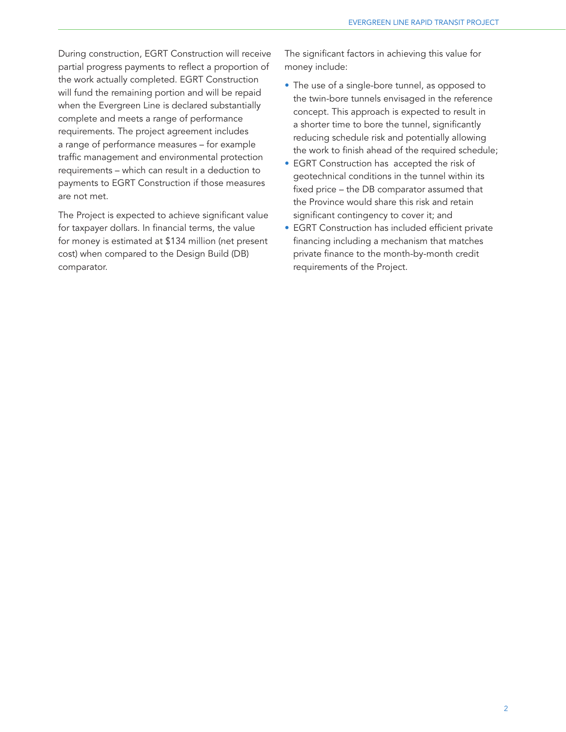During construction, EGRT Construction will receive partial progress payments to reflect a proportion of the work actually completed. EGRT Construction will fund the remaining portion and will be repaid when the Evergreen Line is declared substantially complete and meets a range of performance requirements. The project agreement includes a range of performance measures – for example traffic management and environmental protection requirements – which can result in a deduction to payments to EGRT Construction if those measures are not met.

The Project is expected to achieve significant value for taxpayer dollars. In financial terms, the value for money is estimated at \$134 million (net present cost) when compared to the Design Build (DB) comparator.

The significant factors in achieving this value for money include:

- The use of a single-bore tunnel, as opposed to the twin-bore tunnels envisaged in the reference concept. This approach is expected to result in a shorter time to bore the tunnel, significantly reducing schedule risk and potentially allowing the work to finish ahead of the required schedule;
- EGRT Construction has accepted the risk of geotechnical conditions in the tunnel within its fixed price – the DB comparator assumed that the Province would share this risk and retain significant contingency to cover it; and
- EGRT Construction has included efficient private financing including a mechanism that matches private finance to the month-by-month credit requirements of the Project.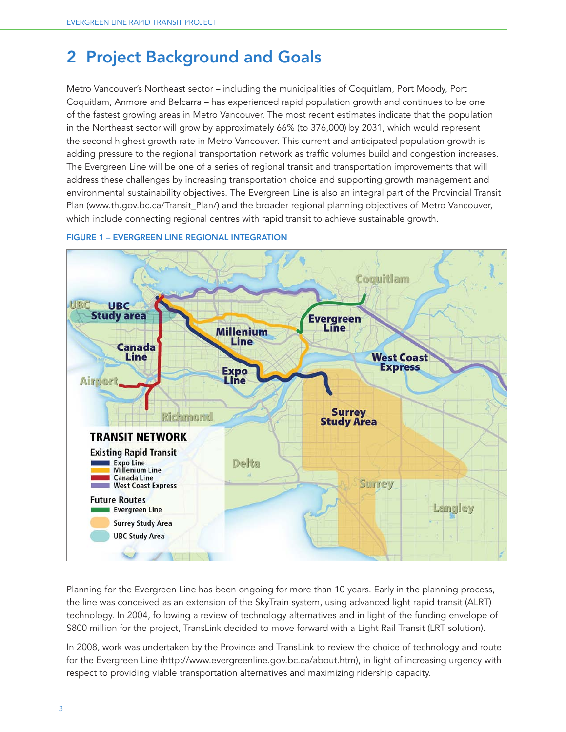# 2 Project Background and Goals

Metro Vancouver's Northeast sector – including the municipalities of Coquitlam, Port Moody, Port Coquitlam, Anmore and Belcarra – has experienced rapid population growth and continues to be one of the fastest growing areas in Metro Vancouver. The most recent estimates indicate that the population in the Northeast sector will grow by approximately 66% (to 376,000) by 2031, which would represent the second highest growth rate in Metro Vancouver. This current and anticipated population growth is adding pressure to the regional transportation network as traffic volumes build and congestion increases. The Evergreen Line will be one of a series of regional transit and transportation improvements that will address these challenges by increasing transportation choice and supporting growth management and environmental sustainability objectives. The Evergreen Line is also an integral part of the Provincial Transit Plan (www.th.gov.bc.ca/Transit\_Plan/) and the broader regional planning objectives of Metro Vancouver, which include connecting regional centres with rapid transit to achieve sustainable growth.



#### FIGURE 1 – EVERGREEN LINE REGIONAL INTEGRATION

Planning for the Evergreen Line has been ongoing for more than 10 years. Early in the planning process, the line was conceived as an extension of the SkyTrain system, using advanced light rapid transit (ALRT) technology. In 2004, following a review of technology alternatives and in light of the funding envelope of \$800 million for the project, TransLink decided to move forward with a Light Rail Transit (LRT solution).

In 2008, work was undertaken by the Province and TransLink to review the choice of technology and route for the Evergreen Line (http://www.evergreenline.gov.bc.ca/about.htm), in light of increasing urgency with respect to providing viable transportation alternatives and maximizing ridership capacity.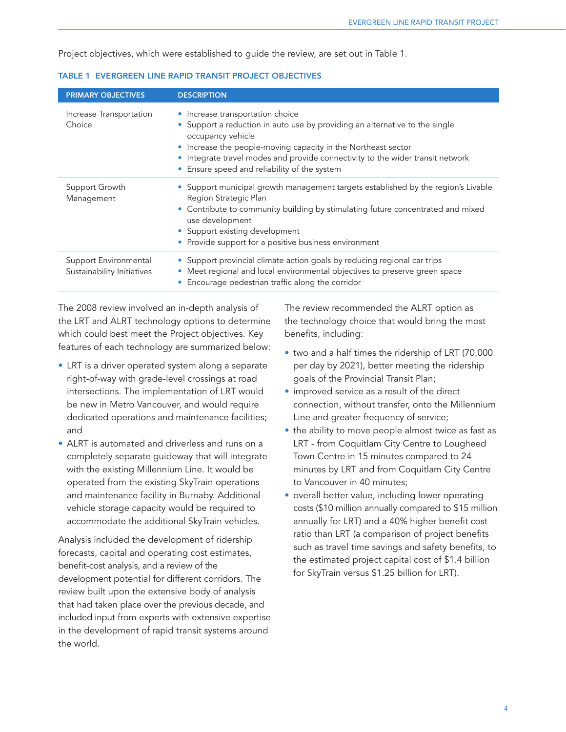Project objectives, which were established to guide the review, are set out in Table 1.

| <b>PRIMARY OBJECTIVES</b>                           | <b>DESCRIPTION</b>                                                                                                                                                                                                                                                                                                            |
|-----------------------------------------------------|-------------------------------------------------------------------------------------------------------------------------------------------------------------------------------------------------------------------------------------------------------------------------------------------------------------------------------|
| Increase Transportation<br>Choice                   | Increase transportation choice<br>Support a reduction in auto use by providing an alternative to the single<br>occupancy vehicle<br>Increase the people-moving capacity in the Northeast sector<br>Integrate travel modes and provide connectivity to the wider transit network<br>Ensure speed and reliability of the system |
| Support Growth<br>Management                        | • Support municipal growth management targets established by the region's Livable<br>Region Strategic Plan<br>• Contribute to community building by stimulating future concentrated and mixed<br>use development<br>• Support existing development<br>Provide support for a positive business environment                     |
| Support Environmental<br>Sustainability Initiatives | • Support provincial climate action goals by reducing regional car trips<br>Meet regional and local environmental objectives to preserve green space<br>Encourage pedestrian traffic along the corridor                                                                                                                       |

| TABLE 1 EVERGREEN LINE RAPID TRANSIT PROJECT OBJECTIVES |  |
|---------------------------------------------------------|--|
|---------------------------------------------------------|--|

The 2008 review involved an in-depth analysis of the LRT and ALRT technology options to determine which could best meet the Project objectives. Key features of each technology are summarized below:

- LRT is a driver operated system along a separate right-of-way with grade-level crossings at road intersections. The implementation of LRT would be new in Metro Vancouver, and would require dedicated operations and maintenance facilities; and
- ALRT is automated and driverless and runs on a completely separate guideway that will integrate with the existing Millennium Line. It would be operated from the existing SkyTrain operations and maintenance facility in Burnaby. Additional vehicle storage capacity would be required to accommodate the additional SkyTrain vehicles.

Analysis included the development of ridership forecasts, capital and operating cost estimates, benefit-cost analysis, and a review of the development potential for different corridors. The review built upon the extensive body of analysis that had taken place over the previous decade, and included input from experts with extensive expertise in the development of rapid transit systems around the world.

The review recommended the ALRT option as the technology choice that would bring the most benefits, including:

- two and a half times the ridership of LRT (70,000 per day by 2021), better meeting the ridership goals of the Provincial Transit Plan;
- improved service as a result of the direct connection, without transfer, onto the Millennium Line and greater frequency of service;
- the ability to move people almost twice as fast as LRT - from Coquitlam City Centre to Lougheed Town Centre in 15 minutes compared to 24 minutes by LRT and from Coquitlam City Centre to Vancouver in 40 minutes;
- overall better value, including lower operating costs (\$10 million annually compared to \$15 million annually for LRT) and a 40% higher benefit cost ratio than LRT (a comparison of project benefits such as travel time savings and safety benefits, to the estimated project capital cost of \$1.4 billion for SkyTrain versus \$1.25 billion for LRT).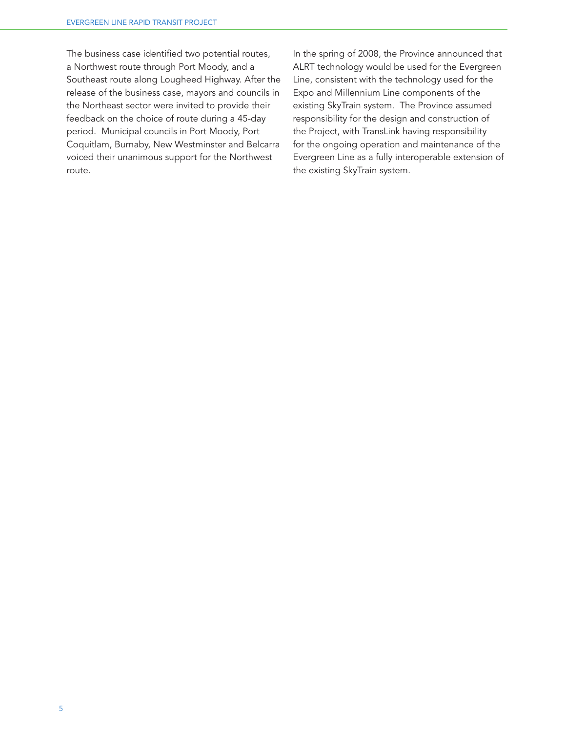The business case identified two potential routes, a Northwest route through Port Moody, and a Southeast route along Lougheed Highway. After the release of the business case, mayors and councils in the Northeast sector were invited to provide their feedback on the choice of route during a 45-day period. Municipal councils in Port Moody, Port Coquitlam, Burnaby, New Westminster and Belcarra voiced their unanimous support for the Northwest route.

In the spring of 2008, the Province announced that ALRT technology would be used for the Evergreen Line, consistent with the technology used for the Expo and Millennium Line components of the existing SkyTrain system. The Province assumed responsibility for the design and construction of the Project, with TransLink having responsibility for the ongoing operation and maintenance of the Evergreen Line as a fully interoperable extension of the existing SkyTrain system.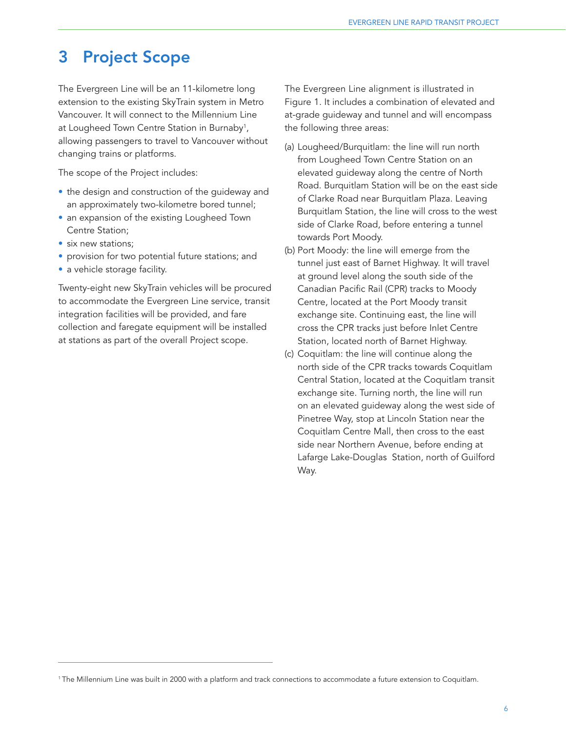# 3 Project Scope

The Evergreen Line will be an 11-kilometre long extension to the existing SkyTrain system in Metro Vancouver. It will connect to the Millennium Line at Lougheed Town Centre Station in Burnaby<sup>1</sup>, allowing passengers to travel to Vancouver without changing trains or platforms.

The scope of the Project includes:

- the design and construction of the guideway and an approximately two-kilometre bored tunnel;
- an expansion of the existing Lougheed Town Centre Station;
- six new stations;
- provision for two potential future stations; and
- a vehicle storage facility.

Twenty-eight new SkyTrain vehicles will be procured to accommodate the Evergreen Line service, transit integration facilities will be provided, and fare collection and faregate equipment will be installed at stations as part of the overall Project scope.

The Evergreen Line alignment is illustrated in Figure 1. It includes a combination of elevated and at-grade guideway and tunnel and will encompass the following three areas:

- (a) Lougheed/Burquitlam: the line will run north from Lougheed Town Centre Station on an elevated guideway along the centre of North Road. Burquitlam Station will be on the east side of Clarke Road near Burquitlam Plaza. Leaving Burquitlam Station, the line will cross to the west side of Clarke Road, before entering a tunnel towards Port Moody.
- (b) Port Moody: the line will emerge from the tunnel just east of Barnet Highway. It will travel at ground level along the south side of the Canadian Pacific Rail (CPR) tracks to Moody Centre, located at the Port Moody transit exchange site. Continuing east, the line will cross the CPR tracks just before Inlet Centre Station, located north of Barnet Highway.
- (c) Coquitlam: the line will continue along the north side of the CPR tracks towards Coquitlam Central Station, located at the Coquitlam transit exchange site. Turning north, the line will run on an elevated guideway along the west side of Pinetree Way, stop at Lincoln Station near the Coquitlam Centre Mall, then cross to the east side near Northern Avenue, before ending at Lafarge Lake-Douglas Station, north of Guilford Way.

<sup>1</sup> The Millennium Line was built in 2000 with a platform and track connections to accommodate a future extension to Coquitlam.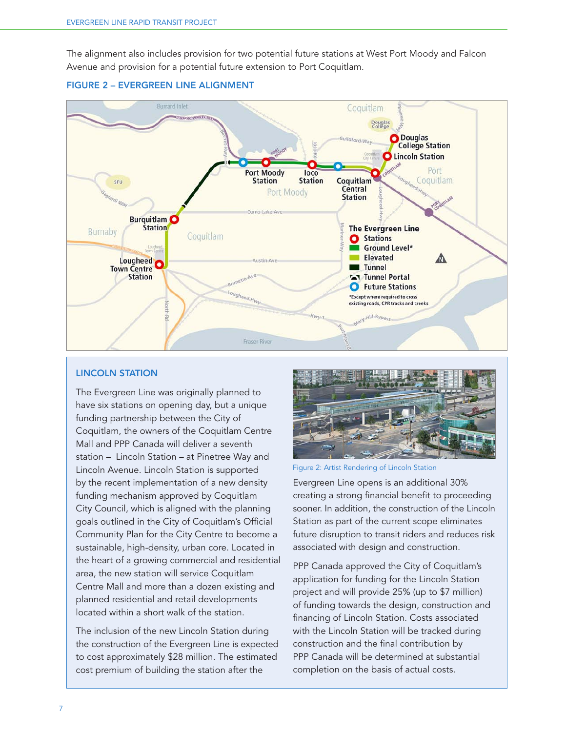The alignment also includes provision for two potential future stations at West Port Moody and Falcon Avenue and provision for a potential future extension to Port Coquitlam.





#### LINCOLN STATION

The Evergreen Line was originally planned to have six stations on opening day, but a unique funding partnership between the City of Coquitlam, the owners of the Coquitlam Centre Mall and PPP Canada will deliver a seventh station – Lincoln Station – at Pinetree Way and Lincoln Avenue. Lincoln Station is supported by the recent implementation of a new density funding mechanism approved by Coquitlam City Council, which is aligned with the planning goals outlined in the City of Coquitlam's Official Community Plan for the City Centre to become a sustainable, high-density, urban core. Located in the heart of a growing commercial and residential area, the new station will service Coquitlam Centre Mall and more than a dozen existing and planned residential and retail developments located within a short walk of the station.

The inclusion of the new Lincoln Station during the construction of the Evergreen Line is expected to cost approximately \$28 million. The estimated cost premium of building the station after the



Figure 2: Artist Rendering of Lincoln Station

Evergreen Line opens is an additional 30% creating a strong financial benefit to proceeding sooner. In addition, the construction of the Lincoln Station as part of the current scope eliminates future disruption to transit riders and reduces risk associated with design and construction.

PPP Canada approved the City of Coquitlam's application for funding for the Lincoln Station project and will provide 25% (up to \$7 million) of funding towards the design, construction and financing of Lincoln Station. Costs associated with the Lincoln Station will be tracked during construction and the final contribution by PPP Canada will be determined at substantial completion on the basis of actual costs.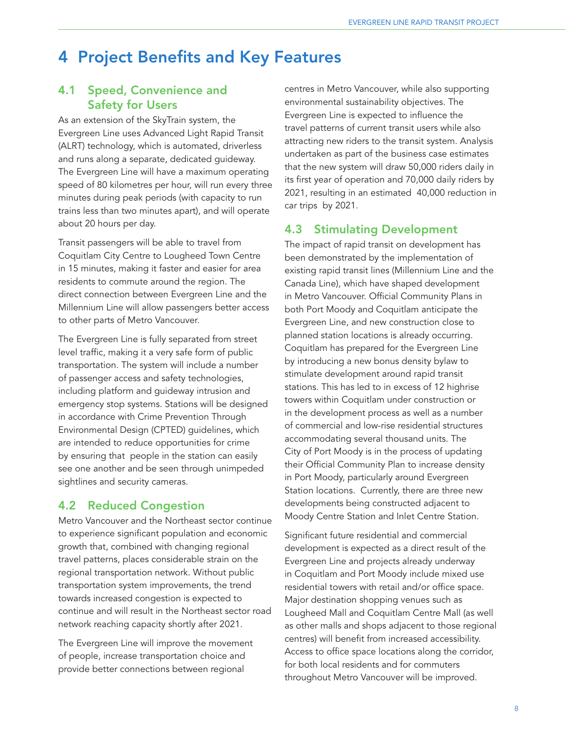# 4 Project Benefits and Key Features

## 4.1 Speed, Convenience and Safety for Users

As an extension of the SkyTrain system, the Evergreen Line uses Advanced Light Rapid Transit (ALRT) technology, which is automated, driverless and runs along a separate, dedicated guideway. The Evergreen Line will have a maximum operating speed of 80 kilometres per hour, will run every three minutes during peak periods (with capacity to run trains less than two minutes apart), and will operate about 20 hours per day.

Transit passengers will be able to travel from Coquitlam City Centre to Lougheed Town Centre in 15 minutes, making it faster and easier for area residents to commute around the region. The direct connection between Evergreen Line and the Millennium Line will allow passengers better access to other parts of Metro Vancouver.

The Evergreen Line is fully separated from street level traffic, making it a very safe form of public transportation. The system will include a number of passenger access and safety technologies, including platform and guideway intrusion and emergency stop systems. Stations will be designed in accordance with Crime Prevention Through Environmental Design (CPTED) guidelines, which are intended to reduce opportunities for crime by ensuring that people in the station can easily see one another and be seen through unimpeded sightlines and security cameras.

## 4.2 Reduced Congestion

Metro Vancouver and the Northeast sector continue to experience significant population and economic growth that, combined with changing regional travel patterns, places considerable strain on the regional transportation network. Without public transportation system improvements, the trend towards increased congestion is expected to continue and will result in the Northeast sector road network reaching capacity shortly after 2021.

The Evergreen Line will improve the movement of people, increase transportation choice and provide better connections between regional

centres in Metro Vancouver, while also supporting environmental sustainability objectives. The Evergreen Line is expected to influence the travel patterns of current transit users while also attracting new riders to the transit system. Analysis undertaken as part of the business case estimates that the new system will draw 50,000 riders daily in its first year of operation and 70,000 daily riders by 2021, resulting in an estimated 40,000 reduction in car trips by 2021.

#### 4.3 Stimulating Development

The impact of rapid transit on development has been demonstrated by the implementation of existing rapid transit lines (Millennium Line and the Canada Line), which have shaped development in Metro Vancouver. Official Community Plans in both Port Moody and Coquitlam anticipate the Evergreen Line, and new construction close to planned station locations is already occurring. Coquitlam has prepared for the Evergreen Line by introducing a new bonus density bylaw to stimulate development around rapid transit stations. This has led to in excess of 12 highrise towers within Coquitlam under construction or in the development process as well as a number of commercial and low-rise residential structures accommodating several thousand units. The City of Port Moody is in the process of updating their Official Community Plan to increase density in Port Moody, particularly around Evergreen Station locations. Currently, there are three new developments being constructed adjacent to Moody Centre Station and Inlet Centre Station.

Significant future residential and commercial development is expected as a direct result of the Evergreen Line and projects already underway in Coquitlam and Port Moody include mixed use residential towers with retail and/or office space. Major destination shopping venues such as Lougheed Mall and Coquitlam Centre Mall (as well as other malls and shops adjacent to those regional centres) will benefit from increased accessibility. Access to office space locations along the corridor, for both local residents and for commuters throughout Metro Vancouver will be improved.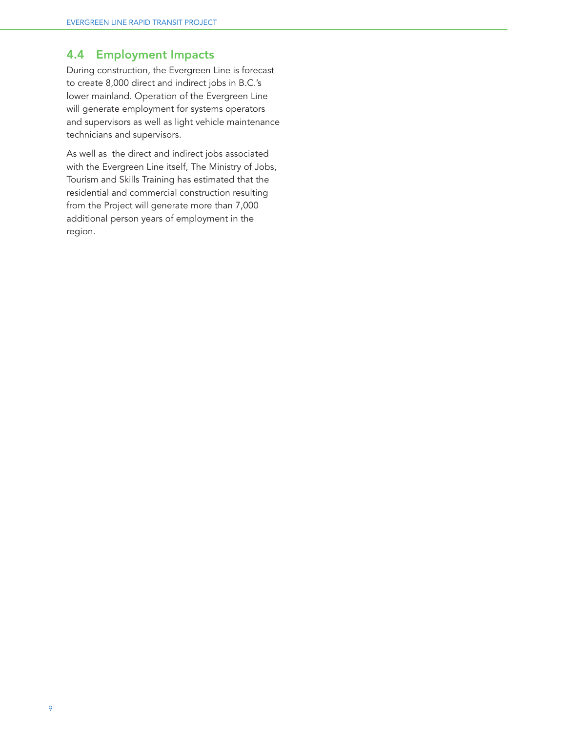## 4.4 Employment Impacts

During construction, the Evergreen Line is forecast to create 8,000 direct and indirect jobs in B.C.'s lower mainland. Operation of the Evergreen Line will generate employment for systems operators and supervisors as well as light vehicle maintenance technicians and supervisors.

As well as the direct and indirect jobs associated with the Evergreen Line itself, The Ministry of Jobs, Tourism and Skills Training has estimated that the residential and commercial construction resulting from the Project will generate more than 7,000 additional person years of employment in the region.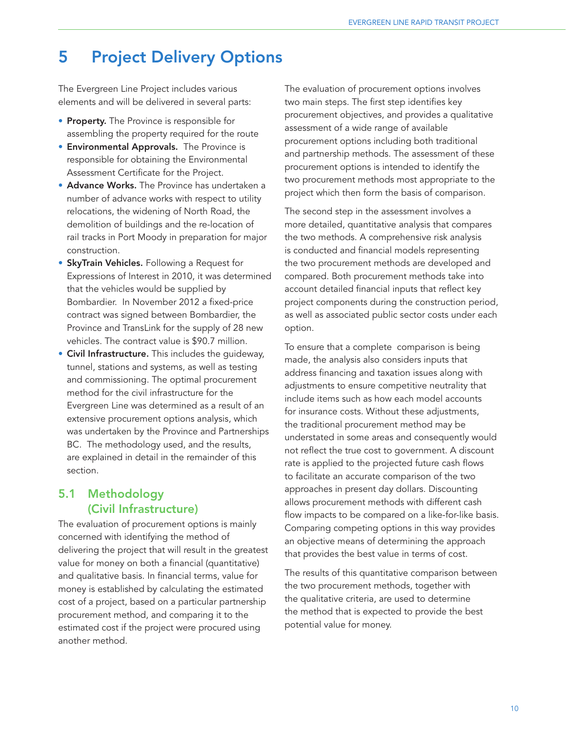# 5 Project Delivery Options

The Evergreen Line Project includes various elements and will be delivered in several parts:

- **Property.** The Province is responsible for assembling the property required for the route
- Environmental Approvals. The Province is responsible for obtaining the Environmental Assessment Certificate for the Project.
- Advance Works. The Province has undertaken a number of advance works with respect to utility relocations, the widening of North Road, the demolition of buildings and the re-location of rail tracks in Port Moody in preparation for major construction.
- **SkyTrain Vehicles.** Following a Request for Expressions of Interest in 2010, it was determined that the vehicles would be supplied by Bombardier. In November 2012 a fixed-price contract was signed between Bombardier, the Province and TransLink for the supply of 28 new vehicles. The contract value is \$90.7 million.
- Civil Infrastructure. This includes the quideway, tunnel, stations and systems, as well as testing and commissioning. The optimal procurement method for the civil infrastructure for the Evergreen Line was determined as a result of an extensive procurement options analysis, which was undertaken by the Province and Partnerships BC. The methodology used, and the results, are explained in detail in the remainder of this section.

# 5.1 Methodology (Civil Infrastructure)

The evaluation of procurement options is mainly concerned with identifying the method of delivering the project that will result in the greatest value for money on both a financial (quantitative) and qualitative basis. In financial terms, value for money is established by calculating the estimated cost of a project, based on a particular partnership procurement method, and comparing it to the estimated cost if the project were procured using another method.

The evaluation of procurement options involves two main steps. The first step identifies key procurement objectives, and provides a qualitative assessment of a wide range of available procurement options including both traditional and partnership methods. The assessment of these procurement options is intended to identify the two procurement methods most appropriate to the project which then form the basis of comparison.

The second step in the assessment involves a more detailed, quantitative analysis that compares the two methods. A comprehensive risk analysis is conducted and financial models representing the two procurement methods are developed and compared. Both procurement methods take into account detailed financial inputs that reflect key project components during the construction period, as well as associated public sector costs under each option.

To ensure that a complete comparison is being made, the analysis also considers inputs that address financing and taxation issues along with adjustments to ensure competitive neutrality that include items such as how each model accounts for insurance costs. Without these adjustments, the traditional procurement method may be understated in some areas and consequently would not reflect the true cost to government. A discount rate is applied to the projected future cash flows to facilitate an accurate comparison of the two approaches in present day dollars. Discounting allows procurement methods with different cash flow impacts to be compared on a like-for-like basis. Comparing competing options in this way provides an objective means of determining the approach that provides the best value in terms of cost.

The results of this quantitative comparison between the two procurement methods, together with the qualitative criteria, are used to determine the method that is expected to provide the best potential value for money.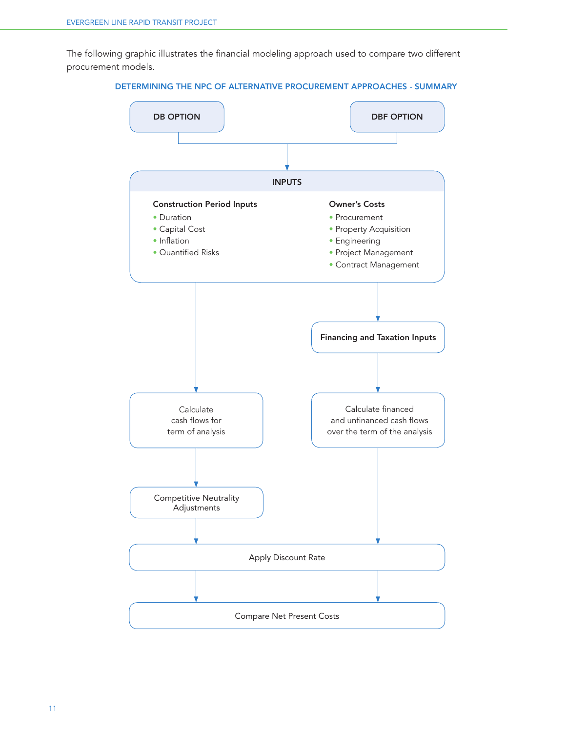The following graphic illustrates the financial modeling approach used to compare two different procurement models.



DETERMINING THE NPC OF ALTERNATIVE PROCUREMENT APPROACHES - SUMMARY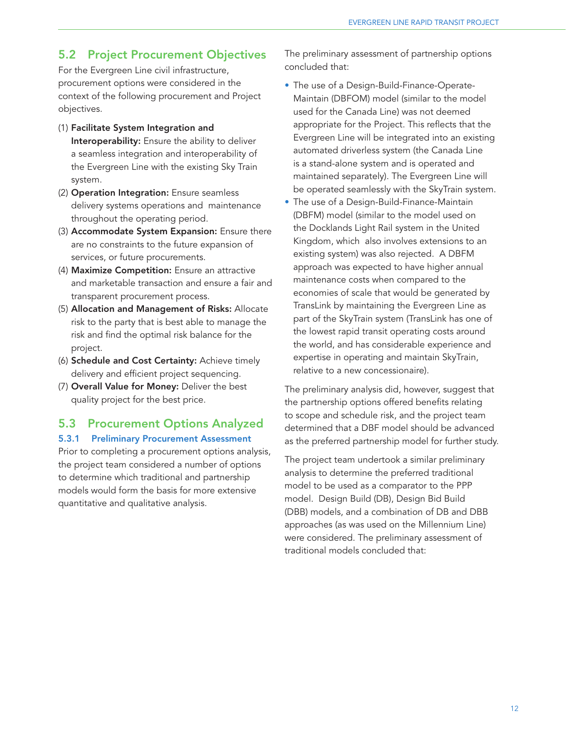## 5.2 Project Procurement Objectives

For the Evergreen Line civil infrastructure, procurement options were considered in the context of the following procurement and Project objectives.

- (1) Facilitate System Integration and Interoperability: Ensure the ability to deliver a seamless integration and interoperability of the Evergreen Line with the existing Sky Train system.
- (2) Operation Integration: Ensure seamless delivery systems operations and maintenance throughout the operating period.
- (3) Accommodate System Expansion: Ensure there are no constraints to the future expansion of services, or future procurements.
- (4) Maximize Competition: Ensure an attractive and marketable transaction and ensure a fair and transparent procurement process.
- (5) Allocation and Management of Risks: Allocate risk to the party that is best able to manage the risk and find the optimal risk balance for the project.
- (6) Schedule and Cost Certainty: Achieve timely delivery and efficient project sequencing.
- (7) Overall Value for Money: Deliver the best quality project for the best price.

## 5.3 Procurement Options Analyzed

#### 5.3.1 Preliminary Procurement Assessment

Prior to completing a procurement options analysis, the project team considered a number of options to determine which traditional and partnership models would form the basis for more extensive quantitative and qualitative analysis.

The preliminary assessment of partnership options concluded that:

- The use of a Design-Build-Finance-Operate-Maintain (DBFOM) model (similar to the model used for the Canada Line) was not deemed appropriate for the Project. This reflects that the Evergreen Line will be integrated into an existing automated driverless system (the Canada Line is a stand-alone system and is operated and maintained separately). The Evergreen Line will be operated seamlessly with the SkyTrain system.
- The use of a Design-Build-Finance-Maintain (DBFM) model (similar to the model used on the Docklands Light Rail system in the United Kingdom, which also involves extensions to an existing system) was also rejected. A DBFM approach was expected to have higher annual maintenance costs when compared to the economies of scale that would be generated by TransLink by maintaining the Evergreen Line as part of the SkyTrain system (TransLink has one of the lowest rapid transit operating costs around the world, and has considerable experience and expertise in operating and maintain SkyTrain, relative to a new concessionaire).

The preliminary analysis did, however, suggest that the partnership options offered benefits relating to scope and schedule risk, and the project team determined that a DBF model should be advanced as the preferred partnership model for further study.

The project team undertook a similar preliminary analysis to determine the preferred traditional model to be used as a comparator to the PPP model. Design Build (DB), Design Bid Build (DBB) models, and a combination of DB and DBB approaches (as was used on the Millennium Line) were considered. The preliminary assessment of traditional models concluded that: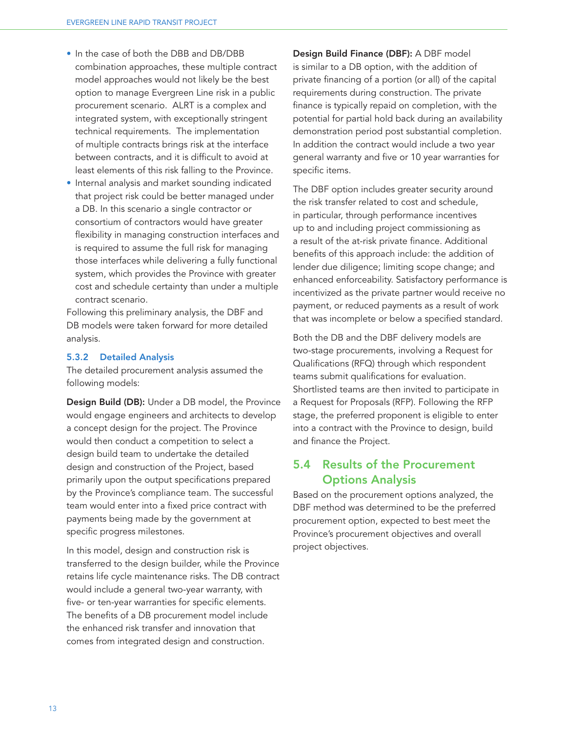- In the case of both the DBB and DB/DBB combination approaches, these multiple contract model approaches would not likely be the best option to manage Evergreen Line risk in a public procurement scenario. ALRT is a complex and integrated system, with exceptionally stringent technical requirements. The implementation of multiple contracts brings risk at the interface between contracts, and it is difficult to avoid at least elements of this risk falling to the Province.
- Internal analysis and market sounding indicated that project risk could be better managed under a DB. In this scenario a single contractor or consortium of contractors would have greater flexibility in managing construction interfaces and is required to assume the full risk for managing those interfaces while delivering a fully functional system, which provides the Province with greater cost and schedule certainty than under a multiple contract scenario.

Following this preliminary analysis, the DBF and DB models were taken forward for more detailed analysis.

#### 5.3.2 Detailed Analysis

The detailed procurement analysis assumed the following models:

Design Build (DB): Under a DB model, the Province would engage engineers and architects to develop a concept design for the project. The Province would then conduct a competition to select a design build team to undertake the detailed design and construction of the Project, based primarily upon the output specifications prepared by the Province's compliance team. The successful team would enter into a fixed price contract with payments being made by the government at specific progress milestones.

In this model, design and construction risk is transferred to the design builder, while the Province retains life cycle maintenance risks. The DB contract would include a general two-year warranty, with five- or ten-year warranties for specific elements. The benefits of a DB procurement model include the enhanced risk transfer and innovation that comes from integrated design and construction.

Design Build Finance (DBF): A DBF model is similar to a DB option, with the addition of private financing of a portion (or all) of the capital requirements during construction. The private finance is typically repaid on completion, with the potential for partial hold back during an availability demonstration period post substantial completion. In addition the contract would include a two year general warranty and five or 10 year warranties for specific items.

The DBF option includes greater security around the risk transfer related to cost and schedule, in particular, through performance incentives up to and including project commissioning as a result of the at-risk private finance. Additional benefits of this approach include: the addition of lender due diligence; limiting scope change; and enhanced enforceability. Satisfactory performance is incentivized as the private partner would receive no payment, or reduced payments as a result of work that was incomplete or below a specified standard.

Both the DB and the DBF delivery models are two-stage procurements, involving a Request for Qualifications (RFQ) through which respondent teams submit qualifications for evaluation. Shortlisted teams are then invited to participate in a Request for Proposals (RFP). Following the RFP stage, the preferred proponent is eligible to enter into a contract with the Province to design, build and finance the Project.

# 5.4 Results of the Procurement Options Analysis

Based on the procurement options analyzed, the DBF method was determined to be the preferred procurement option, expected to best meet the Province's procurement objectives and overall project objectives.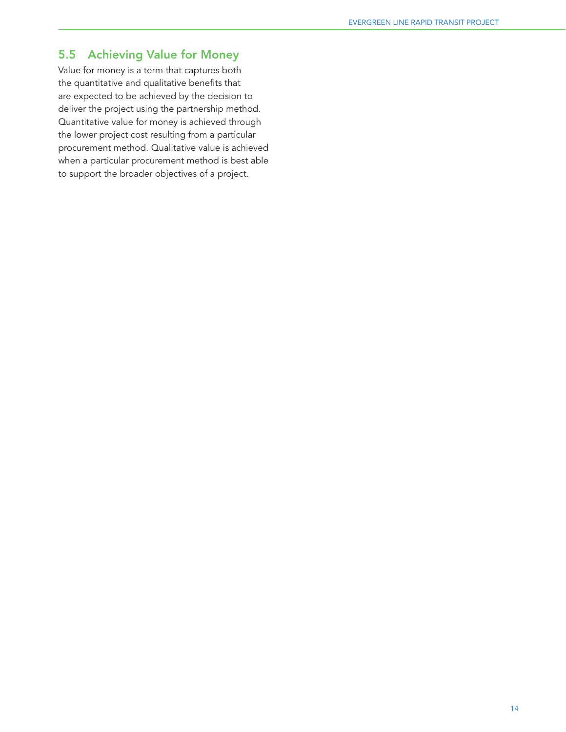# 5.5 Achieving Value for Money

Value for money is a term that captures both the quantitative and qualitative benefits that are expected to be achieved by the decision to deliver the project using the partnership method. Quantitative value for money is achieved through the lower project cost resulting from a particular procurement method. Qualitative value is achieved when a particular procurement method is best able to support the broader objectives of a project.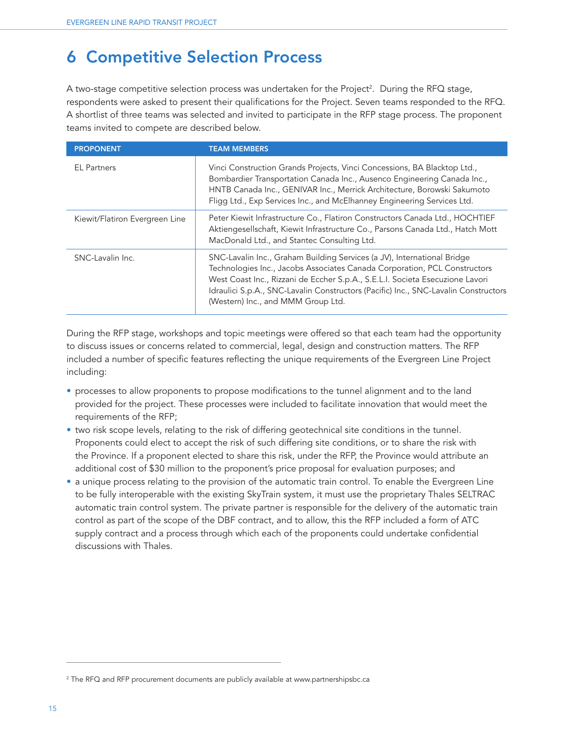# 6 Competitive Selection Process

A two-stage competitive selection process was undertaken for the Project<sup>2</sup>. During the RFQ stage, respondents were asked to present their qualifications for the Project. Seven teams responded to the RFQ. A shortlist of three teams was selected and invited to participate in the RFP stage process. The proponent teams invited to compete are described below.

| <b>PROPONENT</b>               | <b>TEAM MEMBERS</b>                                                                                                                                                                                                                                                                                                                                                |  |  |  |
|--------------------------------|--------------------------------------------------------------------------------------------------------------------------------------------------------------------------------------------------------------------------------------------------------------------------------------------------------------------------------------------------------------------|--|--|--|
| <b>EL Partners</b>             | Vinci Construction Grands Projects, Vinci Concessions, BA Blacktop Ltd.,<br>Bombardier Transportation Canada Inc., Ausenco Engineering Canada Inc.,<br>HNTB Canada Inc., GENIVAR Inc., Merrick Architecture, Borowski Sakumoto<br>Fligg Ltd., Exp Services Inc., and McElhanney Engineering Services Ltd.                                                          |  |  |  |
| Kiewit/Flatiron Evergreen Line | Peter Kiewit Infrastructure Co., Flatiron Constructors Canada Ltd., HOCHTIEF<br>Aktiengesellschaft, Kiewit Infrastructure Co., Parsons Canada Ltd., Hatch Mott<br>MacDonald Ltd., and Stantec Consulting Ltd.                                                                                                                                                      |  |  |  |
| SNC-Lavalin Inc.               | SNC-Lavalin Inc., Graham Building Services (a JV), International Bridge<br>Technologies Inc., Jacobs Associates Canada Corporation, PCL Constructors<br>West Coast Inc., Rizzani de Eccher S.p.A., S.E.L.I. Societa Esecuzione Lavori<br>Idraulici S.p.A., SNC-Lavalin Constructors (Pacific) Inc., SNC-Lavalin Constructors<br>(Western) Inc., and MMM Group Ltd. |  |  |  |

During the RFP stage, workshops and topic meetings were offered so that each team had the opportunity to discuss issues or concerns related to commercial, legal, design and construction matters. The RFP included a number of specific features reflecting the unique requirements of the Evergreen Line Project including:

- processes to allow proponents to propose modifications to the tunnel alignment and to the land provided for the project. These processes were included to facilitate innovation that would meet the requirements of the RFP;
- two risk scope levels, relating to the risk of differing geotechnical site conditions in the tunnel. Proponents could elect to accept the risk of such differing site conditions, or to share the risk with the Province. If a proponent elected to share this risk, under the RFP, the Province would attribute an additional cost of \$30 million to the proponent's price proposal for evaluation purposes; and
- a unique process relating to the provision of the automatic train control. To enable the Evergreen Line to be fully interoperable with the existing SkyTrain system, it must use the proprietary Thales SELTRAC automatic train control system. The private partner is responsible for the delivery of the automatic train control as part of the scope of the DBF contract, and to allow, this the RFP included a form of ATC supply contract and a process through which each of the proponents could undertake confidential discussions with Thales.

<sup>2</sup> The RFQ and RFP procurement documents are publicly available at www.partnershipsbc.ca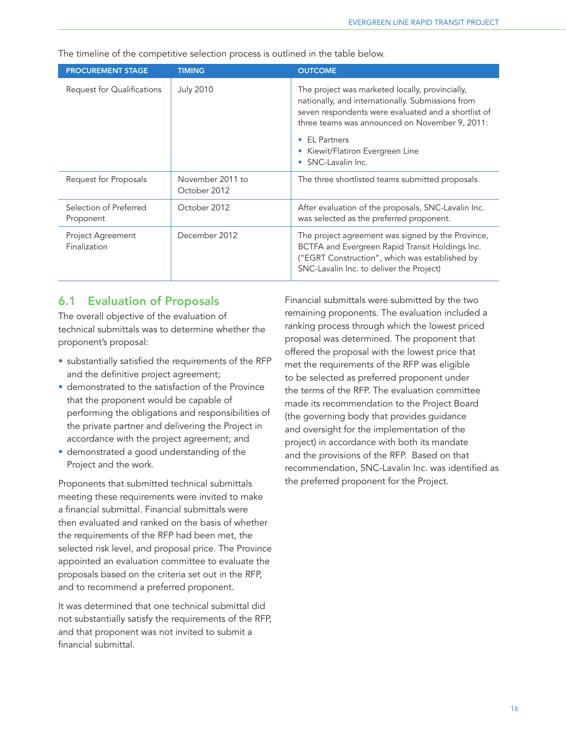The timeline of the competitive selection process is outlined in the table below.

| <b>PROCUREMENT STAGE</b>            | <b>TIMING</b>                    | <b>OUTCOME</b>                                                                                                                                                                                                |  |  |
|-------------------------------------|----------------------------------|---------------------------------------------------------------------------------------------------------------------------------------------------------------------------------------------------------------|--|--|
| Request for Qualifications          | <b>July 2010</b>                 | The project was marketed locally, provincially,<br>nationally, and internationally. Submissions from<br>seven respondents were evaluated and a shortlist of<br>three teams was announced on November 9, 2011: |  |  |
|                                     |                                  | <b>EL Partners</b><br>Kiewit/Flatiron Evergreen Line<br>SNC-Lavalin Inc.                                                                                                                                      |  |  |
| Request for Proposals               | November 2011 to<br>October 2012 | The three shortlisted teams submitted proposals.                                                                                                                                                              |  |  |
| Selection of Preferred<br>Proponent | October 2012                     | After evaluation of the proposals, SNC-Lavalin Inc.<br>was selected as the preferred proponent.                                                                                                               |  |  |
| Project Agreement<br>Finalization   | December 2012                    | The project agreement was signed by the Province,<br>BCTFA and Evergreen Rapid Transit Holdings Inc.<br>("EGRT Construction", which was established by<br>SNC-Lavalin Inc. to deliver the Project)            |  |  |

## 6.1 Evaluation of Proposals

The overall objective of the evaluation of technical submittals was to determine whether the proponent's proposal:

- substantially satisfied the requirements of the RFP and the definitive project agreement;
- demonstrated to the satisfaction of the Province that the proponent would be capable of performing the obligations and responsibilities of the private partner and delivering the Project in accordance with the project agreement; and
- demonstrated a good understanding of the Project and the work.

Proponents that submitted technical submittals meeting these requirements were invited to make a financial submittal. Financial submittals were then evaluated and ranked on the basis of whether the requirements of the RFP had been met, the selected risk level, and proposal price. The Province appointed an evaluation committee to evaluate the proposals based on the criteria set out in the RFP, and to recommend a preferred proponent.

It was determined that one technical submittal did not substantially satisfy the requirements of the RFP, and that proponent was not invited to submit a financial submittal.

Financial submittals were submitted by the two remaining proponents. The evaluation included a ranking process through which the lowest priced proposal was determined. The proponent that offered the proposal with the lowest price that met the requirements of the RFP was eligible to be selected as preferred proponent under the terms of the RFP. The evaluation committee made its recommendation to the Project Board (the governing body that provides guidance and oversight for the implementation of the project) in accordance with both its mandate and the provisions of the RFP. Based on that recommendation, SNC-Lavalin Inc. was identified as the preferred proponent for the Project.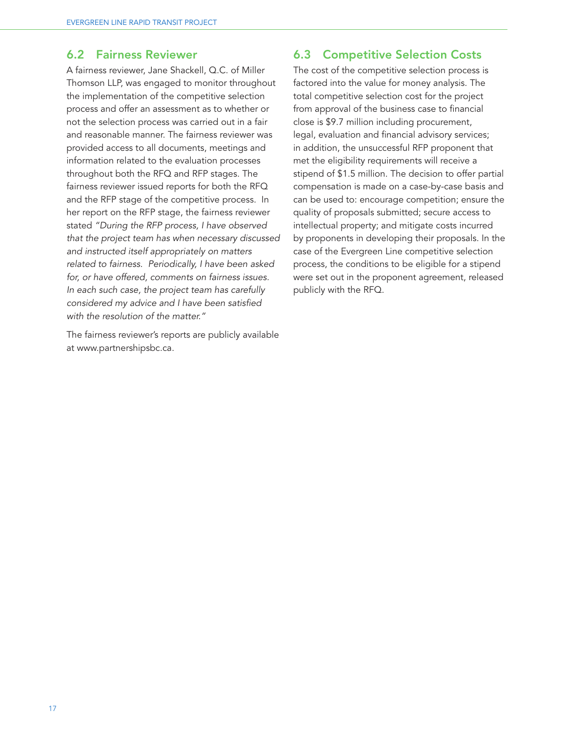#### 6.2 Fairness Reviewer

A fairness reviewer, Jane Shackell, Q.C. of Miller Thomson LLP, was engaged to monitor throughout the implementation of the competitive selection process and offer an assessment as to whether or not the selection process was carried out in a fair and reasonable manner. The fairness reviewer was provided access to all documents, meetings and information related to the evaluation processes throughout both the RFQ and RFP stages. The fairness reviewer issued reports for both the RFQ and the RFP stage of the competitive process. In her report on the RFP stage, the fairness reviewer stated *"During the RFP process, I have observed that the project team has when necessary discussed and instructed itself appropriately on matters related to fairness. Periodically, I have been asked for, or have offered, comments on fairness issues. In each such case, the project team has carefully considered my advice and I have been satisfied with the resolution of the matter."*

The fairness reviewer's reports are publicly available at www.partnershipsbc.ca.

#### 6.3 Competitive Selection Costs

The cost of the competitive selection process is factored into the value for money analysis. The total competitive selection cost for the project from approval of the business case to financial close is \$9.7 million including procurement, legal, evaluation and financial advisory services; in addition, the unsuccessful RFP proponent that met the eligibility requirements will receive a stipend of \$1.5 million. The decision to offer partial compensation is made on a case-by-case basis and can be used to: encourage competition; ensure the quality of proposals submitted; secure access to intellectual property; and mitigate costs incurred by proponents in developing their proposals. In the case of the Evergreen Line competitive selection process, the conditions to be eligible for a stipend were set out in the proponent agreement, released publicly with the RFQ.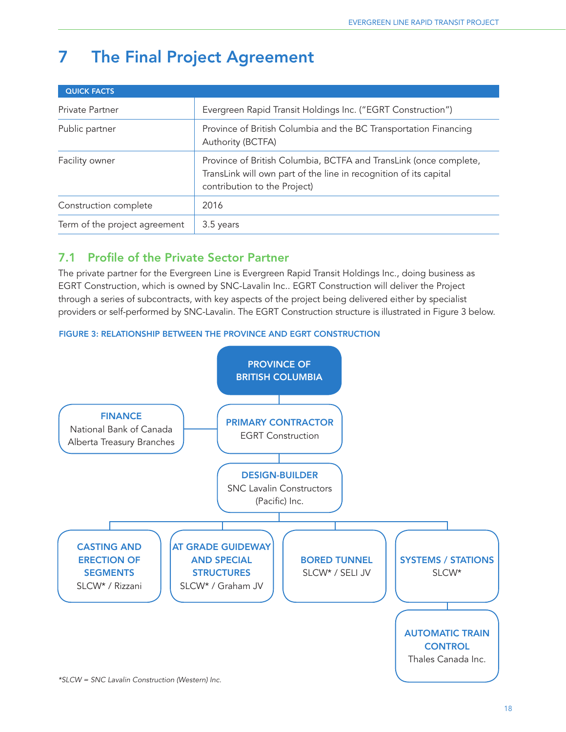# 7 The Final Project Agreement

| <b>QUICK FACTS</b>            |                                                                                                                                                                        |  |
|-------------------------------|------------------------------------------------------------------------------------------------------------------------------------------------------------------------|--|
| Private Partner               | Evergreen Rapid Transit Holdings Inc. ("EGRT Construction")                                                                                                            |  |
| Public partner                | Province of British Columbia and the BC Transportation Financing<br>Authority (BCTFA)                                                                                  |  |
| Facility owner                | Province of British Columbia, BCTFA and TransLink (once complete,<br>TransLink will own part of the line in recognition of its capital<br>contribution to the Project) |  |
| Construction complete         | 2016                                                                                                                                                                   |  |
| Term of the project agreement | 3.5 years                                                                                                                                                              |  |

# 7.1 Profile of the Private Sector Partner

The private partner for the Evergreen Line is Evergreen Rapid Transit Holdings Inc., doing business as EGRT Construction, which is owned by SNC-Lavalin Inc.. EGRT Construction will deliver the Project through a series of subcontracts, with key aspects of the project being delivered either by specialist providers or self-performed by SNC-Lavalin. The EGRT Construction structure is illustrated in Figure 3 below.

#### FIGURE 3: RELATIONSHIP BETWEEN THE PROVINCE AND EGRT CONSTRUCTION



*\*SLCW = SNC Lavalin Construction (Western) Inc.*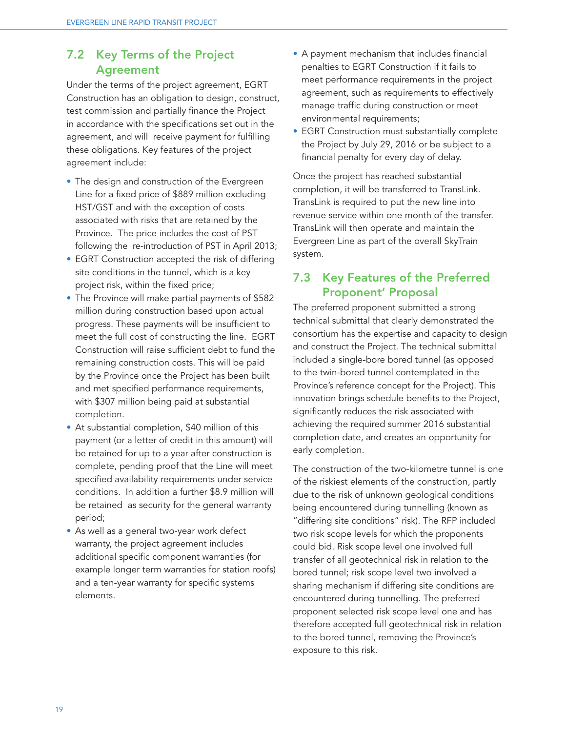# 7.2 Key Terms of the Project Agreement

Under the terms of the project agreement, EGRT Construction has an obligation to design, construct, test commission and partially finance the Project in accordance with the specifications set out in the agreement, and will receive payment for fulfilling these obligations. Key features of the project agreement include:

- The design and construction of the Evergreen Line for a fixed price of \$889 million excluding HST/GST and with the exception of costs associated with risks that are retained by the Province. The price includes the cost of PST following the re-introduction of PST in April 2013;
- EGRT Construction accepted the risk of differing site conditions in the tunnel, which is a key project risk, within the fixed price;
- The Province will make partial payments of \$582 million during construction based upon actual progress. These payments will be insufficient to meet the full cost of constructing the line. EGRT Construction will raise sufficient debt to fund the remaining construction costs. This will be paid by the Province once the Project has been built and met specified performance requirements, with \$307 million being paid at substantial completion.
- At substantial completion, \$40 million of this payment (or a letter of credit in this amount) will be retained for up to a year after construction is complete, pending proof that the Line will meet specified availability requirements under service conditions. In addition a further \$8.9 million will be retained as security for the general warranty period;
- As well as a general two-year work defect warranty, the project agreement includes additional specific component warranties (for example longer term warranties for station roofs) and a ten-year warranty for specific systems elements.
- A payment mechanism that includes financial penalties to EGRT Construction if it fails to meet performance requirements in the project agreement, such as requirements to effectively manage traffic during construction or meet environmental requirements;
- EGRT Construction must substantially complete the Project by July 29, 2016 or be subject to a financial penalty for every day of delay.

Once the project has reached substantial completion, it will be transferred to TransLink. TransLink is required to put the new line into revenue service within one month of the transfer. TransLink will then operate and maintain the Evergreen Line as part of the overall SkyTrain system.

## 7.3 Key Features of the Preferred Proponent' Proposal

The preferred proponent submitted a strong technical submittal that clearly demonstrated the consortium has the expertise and capacity to design and construct the Project. The technical submittal included a single-bore bored tunnel (as opposed to the twin-bored tunnel contemplated in the Province's reference concept for the Project). This innovation brings schedule benefits to the Project, significantly reduces the risk associated with achieving the required summer 2016 substantial completion date, and creates an opportunity for early completion.

The construction of the two-kilometre tunnel is one of the riskiest elements of the construction, partly due to the risk of unknown geological conditions being encountered during tunnelling (known as "differing site conditions" risk). The RFP included two risk scope levels for which the proponents could bid. Risk scope level one involved full transfer of all geotechnical risk in relation to the bored tunnel; risk scope level two involved a sharing mechanism if differing site conditions are encountered during tunnelling. The preferred proponent selected risk scope level one and has therefore accepted full geotechnical risk in relation to the bored tunnel, removing the Province's exposure to this risk.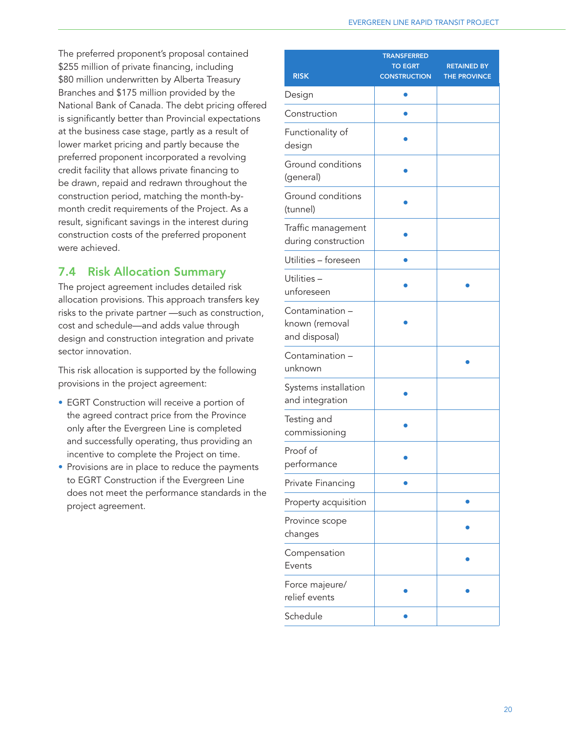The preferred proponent's proposal contained \$255 million of private financing, including \$80 million underwritten by Alberta Treasury Branches and \$175 million provided by the National Bank of Canada. The debt pricing offered is significantly better than Provincial expectations at the business case stage, partly as a result of lower market pricing and partly because the preferred proponent incorporated a revolving credit facility that allows private financing to be drawn, repaid and redrawn throughout the construction period, matching the month-bymonth credit requirements of the Project. As a result, significant savings in the interest during construction costs of the preferred proponent were achieved.

# 7.4 Risk Allocation Summary

The project agreement includes detailed risk allocation provisions. This approach transfers key risks to the private partner —such as construction, cost and schedule—and adds value through design and construction integration and private sector innovation.

This risk allocation is supported by the following provisions in the project agreement:

- EGRT Construction will receive a portion of the agreed contract price from the Province only after the Evergreen Line is completed and successfully operating, thus providing an incentive to complete the Project on time.
- Provisions are in place to reduce the payments to EGRT Construction if the Evergreen Line does not meet the performance standards in the project agreement.

| <b>RISK</b>                                        | <b>TRANSFERRED</b><br><b>TO EGRT</b><br><b>CONSTRUCTION</b> | <b>RETAINED BY</b><br>THE PROVINCE |
|----------------------------------------------------|-------------------------------------------------------------|------------------------------------|
| Design                                             |                                                             |                                    |
| Construction                                       |                                                             |                                    |
| Functionality of<br>design                         |                                                             |                                    |
| Ground conditions<br>(general)                     |                                                             |                                    |
| Ground conditions<br>(tunnel)                      |                                                             |                                    |
| Traffic management<br>during construction          |                                                             |                                    |
| Utilities - foreseen                               |                                                             |                                    |
| Utilities-<br>unforeseen                           |                                                             |                                    |
| Contamination -<br>known (removal<br>and disposal) |                                                             |                                    |
| Contamination -<br>unknown                         |                                                             |                                    |
| Systems installation<br>and integration            |                                                             |                                    |
| Testing and<br>commissioning                       |                                                             |                                    |
| Proof of<br>performance                            |                                                             |                                    |
| Private Financing                                  |                                                             |                                    |
| Property acquisition                               |                                                             |                                    |
| Province scope<br>changes                          |                                                             |                                    |
| Compensation<br>Events                             |                                                             |                                    |
| Force majeure/<br>relief events                    |                                                             |                                    |
| Schedule                                           |                                                             |                                    |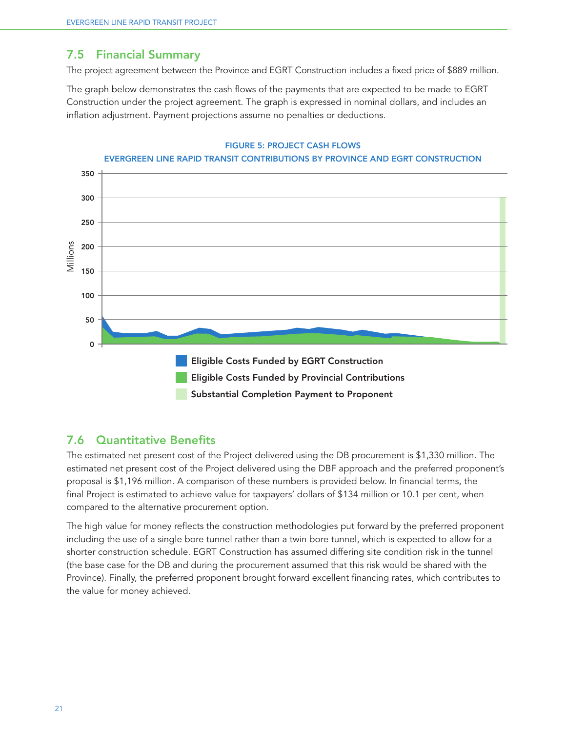## 7.5 Financial Summary

The project agreement between the Province and EGRT Construction includes a fixed price of \$889 million.

The graph below demonstrates the cash flows of the payments that are expected to be made to EGRT Construction under the project agreement. The graph is expressed in nominal dollars, and includes an inflation adjustment. Payment projections assume no penalties or deductions.



#### FIGURE 5: PROJECT CASH FLOWS

## 7.6 Quantitative Benefits

The estimated net present cost of the Project delivered using the DB procurement is \$1,330 million. The estimated net present cost of the Project delivered using the DBF approach and the preferred proponent's proposal is \$1,196 million. A comparison of these numbers is provided below. In financial terms, the final Project is estimated to achieve value for taxpayers' dollars of \$134 million or 10.1 per cent, when compared to the alternative procurement option.

The high value for money reflects the construction methodologies put forward by the preferred proponent including the use of a single bore tunnel rather than a twin bore tunnel, which is expected to allow for a shorter construction schedule. EGRT Construction has assumed differing site condition risk in the tunnel (the base case for the DB and during the procurement assumed that this risk would be shared with the Province). Finally, the preferred proponent brought forward excellent financing rates, which contributes to the value for money achieved.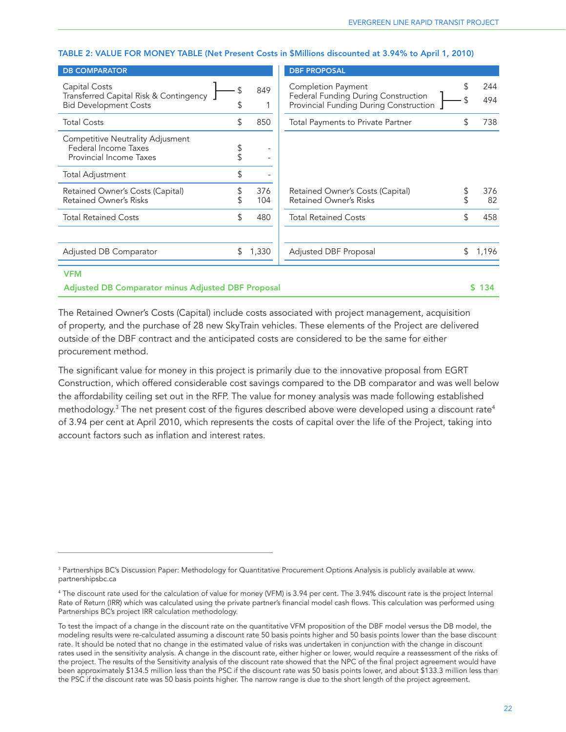#### TABLE 2: VALUE FOR MONEY TABLE (Net Present Costs in \$Millions discounted at 3.94% to April 1, 2010)

| <b>DB COMPARATOR</b>                                                                    |          |            | <b>DBF PROPOSAL</b>                                                                                  |                  |
|-----------------------------------------------------------------------------------------|----------|------------|------------------------------------------------------------------------------------------------------|------------------|
| Capital Costs<br>Transferred Capital Risk & Contingency<br><b>Bid Development Costs</b> |          | 849<br>1   | Completion Payment<br>Federal Funding During Construction<br>Provincial Funding During Construction. | \$<br>244<br>494 |
| <b>Total Costs</b>                                                                      | \$       | 850        | <b>Total Payments to Private Partner</b>                                                             | 738              |
| Competitive Neutrality Adjusment<br>Federal Income Taxes<br>Provincial Income Taxes     | \$       |            |                                                                                                      |                  |
| Total Adjustment                                                                        | \$       |            |                                                                                                      |                  |
| Retained Owner's Costs (Capital)<br><b>Retained Owner's Risks</b>                       | \$<br>\$ | 376<br>104 | Retained Owner's Costs (Capital)<br><b>Retained Owner's Risks</b>                                    | 376<br>82        |
| <b>Total Retained Costs</b>                                                             | \$       | 480        | <b>Total Retained Costs</b>                                                                          | \$<br>458        |
|                                                                                         |          |            |                                                                                                      |                  |
| Adjusted DB Comparator                                                                  | \$       | 1,330      | Adjusted DBF Proposal                                                                                | \$<br>1,196      |
| <b>VFM</b>                                                                              |          |            |                                                                                                      |                  |
| <b>Adjusted DB Comparator minus Adjusted DBF Proposal</b>                               |          |            |                                                                                                      | \$134            |

The Retained Owner's Costs (Capital) include costs associated with project management, acquisition of property, and the purchase of 28 new SkyTrain vehicles. These elements of the Project are delivered outside of the DBF contract and the anticipated costs are considered to be the same for either procurement method.

The significant value for money in this project is primarily due to the innovative proposal from EGRT Construction, which offered considerable cost savings compared to the DB comparator and was well below the affordability ceiling set out in the RFP. The value for money analysis was made following established methodology. $^3$  The net present cost of the figures described above were developed using a discount rate $^4$ of 3.94 per cent at April 2010, which represents the costs of capital over the life of the Project, taking into account factors such as inflation and interest rates.

<sup>3</sup> Partnerships BC's Discussion Paper: Methodology for Quantitative Procurement Options Analysis is publicly available at www. partnershipsbc.ca

<sup>4</sup> The discount rate used for the calculation of value for money (VFM) is 3.94 per cent. The 3.94% discount rate is the project Internal Rate of Return (IRR) which was calculated using the private partner's financial model cash flows. This calculation was performed using Partnerships BC's project IRR calculation methodology.

To test the impact of a change in the discount rate on the quantitative VFM proposition of the DBF model versus the DB model, the modeling results were re-calculated assuming a discount rate 50 basis points higher and 50 basis points lower than the base discount rate. It should be noted that no change in the estimated value of risks was undertaken in conjunction with the change in discount rates used in the sensitivity analysis. A change in the discount rate, either higher or lower, would require a reassessment of the risks of the project. The results of the Sensitivity analysis of the discount rate showed that the NPC of the final project agreement would have been approximately \$134.5 million less than the PSC if the discount rate was 50 basis points lower, and about \$133.3 million less than the PSC if the discount rate was 50 basis points higher. The narrow range is due to the short length of the project agreement.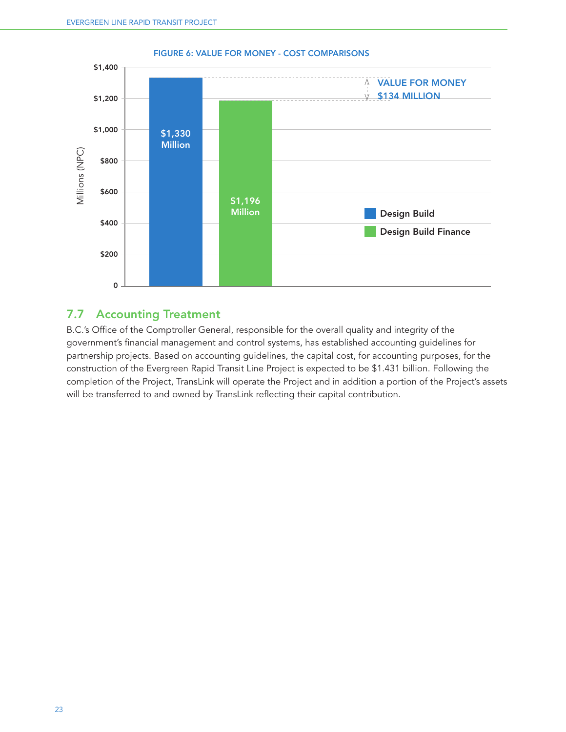

#### FIGURE 6: VALUE FOR MONEY - COST COMPARISONS

## 7.7 Accounting Treatment

B.C.'s Office of the Comptroller General, responsible for the overall quality and integrity of the government's financial management and control systems, has established accounting guidelines for partnership projects. Based on accounting guidelines, the capital cost, for accounting purposes, for the construction of the Evergreen Rapid Transit Line Project is expected to be \$1.431 billion. Following the completion of the Project, TransLink will operate the Project and in addition a portion of the Project's assets will be transferred to and owned by TransLink reflecting their capital contribution.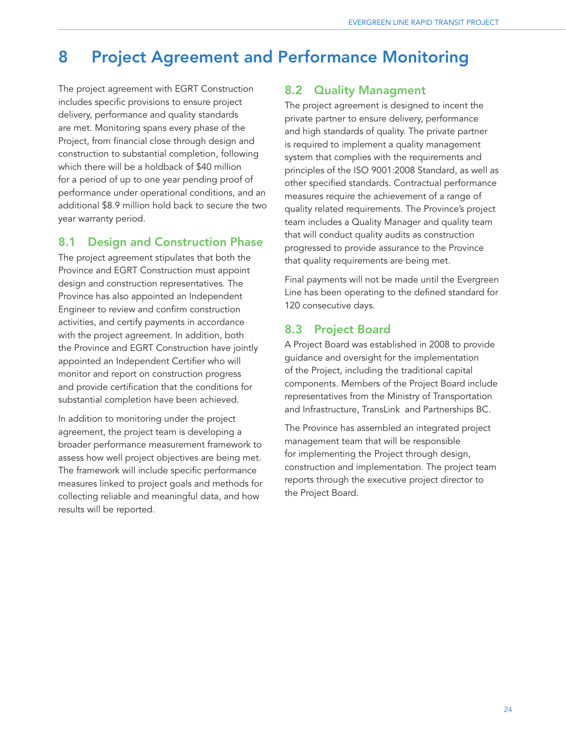# 8 Project Agreement and Performance Monitoring

The project agreement with EGRT Construction includes specific provisions to ensure project delivery, performance and quality standards are met. Monitoring spans every phase of the Project, from financial close through design and construction to substantial completion, following which there will be a holdback of \$40 million for a period of up to one year pending proof of performance under operational conditions, and an additional \$8.9 million hold back to secure the two year warranty period.

## 8.1 Design and Construction Phase

The project agreement stipulates that both the Province and EGRT Construction must appoint design and construction representatives. The Province has also appointed an Independent Engineer to review and confirm construction activities, and certify payments in accordance with the project agreement. In addition, both the Province and EGRT Construction have jointly appointed an Independent Certifier who will monitor and report on construction progress and provide certification that the conditions for substantial completion have been achieved.

In addition to monitoring under the project agreement, the project team is developing a broader performance measurement framework to assess how well project objectives are being met. The framework will include specific performance measures linked to project goals and methods for collecting reliable and meaningful data, and how results will be reported.

## 8.2 Quality Managment

The project agreement is designed to incent the private partner to ensure delivery, performance and high standards of quality. The private partner is required to implement a quality management system that complies with the requirements and principles of the ISO 9001:2008 Standard, as well as other specified standards. Contractual performance measures require the achievement of a range of quality related requirements. The Province's project team includes a Quality Manager and quality team that will conduct quality audits as construction progressed to provide assurance to the Province that quality requirements are being met.

Final payments will not be made until the Evergreen Line has been operating to the defined standard for 120 consecutive days.

# 8.3 Project Board

A Project Board was established in 2008 to provide guidance and oversight for the implementation of the Project, including the traditional capital components. Members of the Project Board include representatives from the Ministry of Transportation and Infrastructure, TransLink and Partnerships BC.

The Province has assembled an integrated project management team that will be responsible for implementing the Project through design, construction and implementation. The project team reports through the executive project director to the Project Board.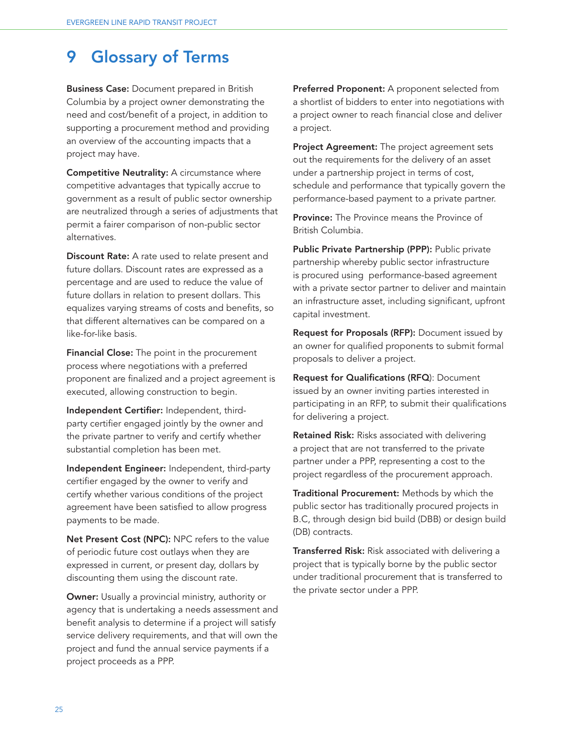# 9 Glossary of Terms

**Business Case:** Document prepared in British Columbia by a project owner demonstrating the need and cost/benefit of a project, in addition to supporting a procurement method and providing an overview of the accounting impacts that a project may have.

Competitive Neutrality: A circumstance where competitive advantages that typically accrue to government as a result of public sector ownership are neutralized through a series of adjustments that permit a fairer comparison of non-public sector alternatives.

Discount Rate: A rate used to relate present and future dollars. Discount rates are expressed as a percentage and are used to reduce the value of future dollars in relation to present dollars. This equalizes varying streams of costs and benefits, so that different alternatives can be compared on a like-for-like basis.

**Financial Close:** The point in the procurement process where negotiations with a preferred proponent are finalized and a project agreement is executed, allowing construction to begin.

Independent Certifier: Independent, thirdparty certifier engaged jointly by the owner and the private partner to verify and certify whether substantial completion has been met.

Independent Engineer: Independent, third-party certifier engaged by the owner to verify and certify whether various conditions of the project agreement have been satisfied to allow progress payments to be made.

Net Present Cost (NPC): NPC refers to the value of periodic future cost outlays when they are expressed in current, or present day, dollars by discounting them using the discount rate.

**Owner:** Usually a provincial ministry, authority or agency that is undertaking a needs assessment and benefit analysis to determine if a project will satisfy service delivery requirements, and that will own the project and fund the annual service payments if a project proceeds as a PPP.

Preferred Proponent: A proponent selected from a shortlist of bidders to enter into negotiations with a project owner to reach financial close and deliver a project.

Project Agreement: The project agreement sets out the requirements for the delivery of an asset under a partnership project in terms of cost, schedule and performance that typically govern the performance-based payment to a private partner.

**Province:** The Province means the Province of British Columbia.

Public Private Partnership (PPP): Public private partnership whereby public sector infrastructure is procured using performance-based agreement with a private sector partner to deliver and maintain an infrastructure asset, including significant, upfront capital investment.

Request for Proposals (RFP): Document issued by an owner for qualified proponents to submit formal proposals to deliver a project.

Request for Qualifications (RFQ): Document issued by an owner inviting parties interested in participating in an RFP, to submit their qualifications for delivering a project.

Retained Risk: Risks associated with delivering a project that are not transferred to the private partner under a PPP, representing a cost to the project regardless of the procurement approach.

Traditional Procurement: Methods by which the public sector has traditionally procured projects in B.C, through design bid build (DBB) or design build (DB) contracts.

Transferred Risk: Risk associated with delivering a project that is typically borne by the public sector under traditional procurement that is transferred to the private sector under a PPP.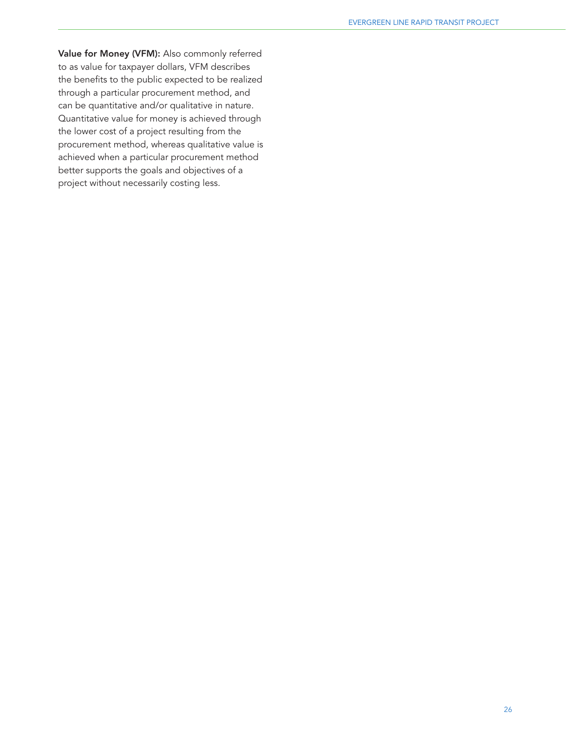Value for Money (VFM): Also commonly referred to as value for taxpayer dollars, VFM describes the benefits to the public expected to be realized through a particular procurement method, and can be quantitative and/or qualitative in nature. Quantitative value for money is achieved through the lower cost of a project resulting from the procurement method, whereas qualitative value is achieved when a particular procurement method better supports the goals and objectives of a project without necessarily costing less.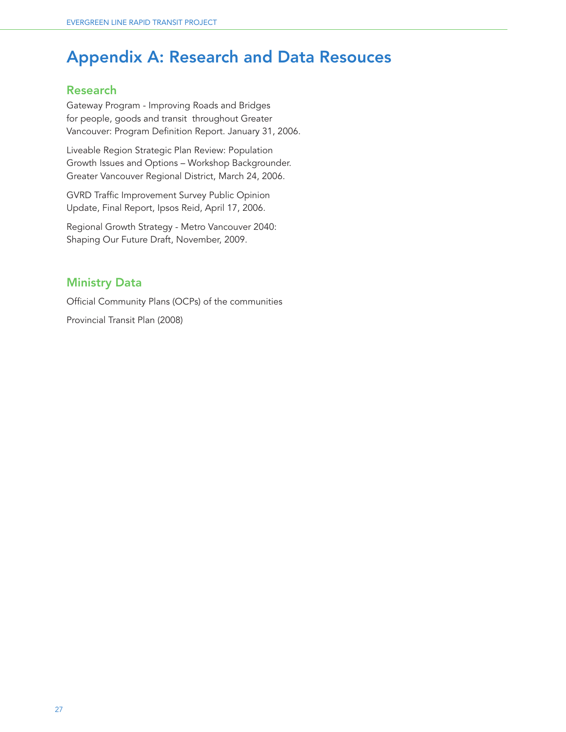# Appendix A: Research and Data Resouces

# Research

Gateway Program - Improving Roads and Bridges for people, goods and transit throughout Greater Vancouver: Program Definition Report. January 31, 2006.

Liveable Region Strategic Plan Review: Population Growth Issues and Options – Workshop Backgrounder. Greater Vancouver Regional District, March 24, 2006.

GVRD Traffic Improvement Survey Public Opinion Update, Final Report, Ipsos Reid, April 17, 2006.

Regional Growth Strategy - Metro Vancouver 2040: Shaping Our Future Draft, November, 2009.

# Ministry Data

Official Community Plans (OCPs) of the communities Provincial Transit Plan (2008)